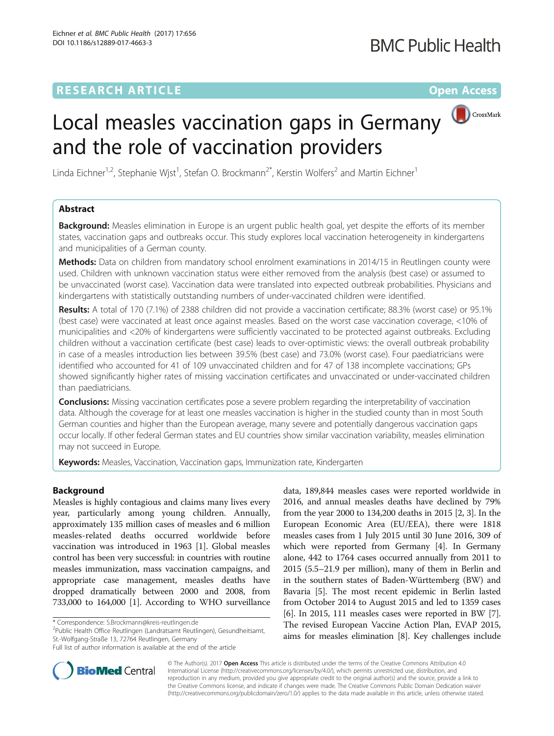# **RESEARCH ARTICLE Example 2018 12:00 Department of the Contract Open Access**

# CrossMark Local measles vaccination gaps in Germany and the role of vaccination providers

Linda Eichner<sup>1,2</sup>, Stephanie Wjst<sup>1</sup>, Stefan O. Brockmann<sup>2\*</sup>, Kerstin Wolfers<sup>2</sup> and Martin Eichner<sup>1</sup>

# Abstract

**Background:** Measles elimination in Europe is an urgent public health goal, yet despite the efforts of its member states, vaccination gaps and outbreaks occur. This study explores local vaccination heterogeneity in kindergartens and municipalities of a German county.

Methods: Data on children from mandatory school enrolment examinations in 2014/15 in Reutlingen county were used. Children with unknown vaccination status were either removed from the analysis (best case) or assumed to be unvaccinated (worst case). Vaccination data were translated into expected outbreak probabilities. Physicians and kindergartens with statistically outstanding numbers of under-vaccinated children were identified.

Results: A total of 170 (7.1%) of 2388 children did not provide a vaccination certificate; 88.3% (worst case) or 95.1% (best case) were vaccinated at least once against measles. Based on the worst case vaccination coverage, <10% of municipalities and <20% of kindergartens were sufficiently vaccinated to be protected against outbreaks. Excluding children without a vaccination certificate (best case) leads to over-optimistic views: the overall outbreak probability in case of a measles introduction lies between 39.5% (best case) and 73.0% (worst case). Four paediatricians were identified who accounted for 41 of 109 unvaccinated children and for 47 of 138 incomplete vaccinations; GPs showed significantly higher rates of missing vaccination certificates and unvaccinated or under-vaccinated children than paediatricians.

**Conclusions:** Missing vaccination certificates pose a severe problem regarding the interpretability of vaccination data. Although the coverage for at least one measles vaccination is higher in the studied county than in most South German counties and higher than the European average, many severe and potentially dangerous vaccination gaps occur locally. If other federal German states and EU countries show similar vaccination variability, measles elimination may not succeed in Europe.

Keywords: Measles, Vaccination, Vaccination gaps, Immunization rate, Kindergarten

# Background

Measles is highly contagious and claims many lives every year, particularly among young children. Annually, approximately 135 million cases of measles and 6 million measles-related deaths occurred worldwide before vaccination was introduced in 1963 [[1\]](#page-6-0). Global measles control has been very successful: in countries with routine measles immunization, mass vaccination campaigns, and appropriate case management, measles deaths have dropped dramatically between 2000 and 2008, from 733,000 to 164,000 [\[1](#page-6-0)]. According to WHO surveillance

Public Health Office Reutlingen (Landratsamt Reutlingen), Gesundheitsamt, St.-Wolfgang-Straße 13, 72764 Reutlingen, Germany

data, 189,844 measles cases were reported worldwide in 2016, and annual measles deaths have declined by 79% from the year 2000 to 134,200 deaths in 2015 [\[2](#page-6-0), [3\]](#page-6-0). In the European Economic Area (EU/EEA), there were 1818 measles cases from 1 July 2015 until 30 June 2016, 309 of which were reported from Germany [\[4\]](#page-6-0). In Germany alone, 442 to 1764 cases occurred annually from 2011 to 2015 (5.5–21.9 per million), many of them in Berlin and in the southern states of Baden-Württemberg (BW) and Bavaria [\[5\]](#page-6-0). The most recent epidemic in Berlin lasted from October 2014 to August 2015 and led to 1359 cases [[6\]](#page-6-0). In 2015, 111 measles cases were reported in BW [[7](#page-6-0)]. The revised European Vaccine Action Plan, EVAP 2015, aims for measles elimination [[8\]](#page-6-0). Key challenges include



© The Author(s). 2017 **Open Access** This article is distributed under the terms of the Creative Commons Attribution 4.0 International License [\(http://creativecommons.org/licenses/by/4.0/](http://creativecommons.org/licenses/by/4.0/)), which permits unrestricted use, distribution, and reproduction in any medium, provided you give appropriate credit to the original author(s) and the source, provide a link to the Creative Commons license, and indicate if changes were made. The Creative Commons Public Domain Dedication waiver [\(http://creativecommons.org/publicdomain/zero/1.0/](http://creativecommons.org/publicdomain/zero/1.0/)) applies to the data made available in this article, unless otherwise stated.

<sup>\*</sup> Correspondence: [S.Brockmann@kreis-reutlingen.de](mailto:S.Brockmann@kreis-reutlingen.de) <sup>2</sup>

Full list of author information is available at the end of the article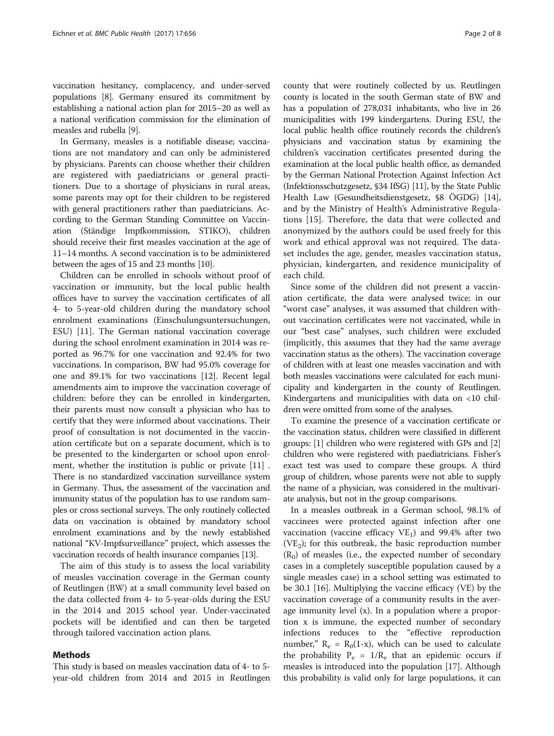vaccination hesitancy, complacency, and under-served populations [\[8](#page-6-0)]. Germany ensured its commitment by establishing a national action plan for 2015–20 as well as a national verification commission for the elimination of measles and rubella [[9\]](#page-7-0).

In Germany, measles is a notifiable disease; vaccinations are not mandatory and can only be administered by physicians. Parents can choose whether their children are registered with paediatricians or general practitioners. Due to a shortage of physicians in rural areas, some parents may opt for their children to be registered with general practitioners rather than paediatricians. According to the German Standing Committee on Vaccination (Ständige Impfkommission, STIKO), children should receive their first measles vaccination at the age of 11–14 months. A second vaccination is to be administered between the ages of 15 and 23 months [[10\]](#page-7-0).

Children can be enrolled in schools without proof of vaccination or immunity, but the local public health offices have to survey the vaccination certificates of all 4- to 5-year-old children during the mandatory school enrolment examinations (Einschulungsuntersuchungen, ESU) [[11\]](#page-7-0). The German national vaccination coverage during the school enrolment examination in 2014 was reported as 96.7% for one vaccination and 92.4% for two vaccinations. In comparison, BW had 95.0% coverage for one and 89.1% for two vaccinations [\[12](#page-7-0)]. Recent legal amendments aim to improve the vaccination coverage of children: before they can be enrolled in kindergarten, their parents must now consult a physician who has to certify that they were informed about vaccinations. Their proof of consultation is not documented in the vaccination certificate but on a separate document, which is to be presented to the kindergarten or school upon enrolment, whether the institution is public or private [\[11](#page-7-0)] . There is no standardized vaccination surveillance system in Germany. Thus, the assessment of the vaccination and immunity status of the population has to use random samples or cross sectional surveys. The only routinely collected data on vaccination is obtained by mandatory school enrolment examinations and by the newly established national "KV-Impfsurveillance" project, which assesses the vaccination records of health insurance companies [[13](#page-7-0)].

The aim of this study is to assess the local variability of measles vaccination coverage in the German county of Reutlingen (BW) at a small community level based on the data collected from 4- to 5-year-olds during the ESU in the 2014 and 2015 school year. Under-vaccinated pockets will be identified and can then be targeted through tailored vaccination action plans.

#### Methods

This study is based on measles vaccination data of 4- to 5 year-old children from 2014 and 2015 in Reutlingen county that were routinely collected by us. Reutlingen county is located in the south German state of BW and has a population of 278,031 inhabitants, who live in 26 municipalities with 199 kindergartens. During ESU, the local public health office routinely records the children's physicians and vaccination status by examining the children's vaccination certificates presented during the examination at the local public health office, as demanded by the German National Protection Against Infection Act (Infektionsschutzgesetz, §34 IfSG) [\[11\]](#page-7-0), by the State Public Health Law (Gesundheitsdienstgesetz, §8 ÖGDG) [[14](#page-7-0)], and by the Ministry of Health's Administrative Regulations [[15](#page-7-0)]. Therefore, the data that were collected and anonymized by the authors could be used freely for this work and ethical approval was not required. The dataset includes the age, gender, measles vaccination status, physician, kindergarten, and residence municipality of each child.

Since some of the children did not present a vaccination certificate, the data were analysed twice: in our "worst case" analyses, it was assumed that children without vaccination certificates were not vaccinated, while in our "best case" analyses, such children were excluded (implicitly, this assumes that they had the same average vaccination status as the others). The vaccination coverage of children with at least one measles vaccination and with both measles vaccinations were calculated for each municipality and kindergarten in the county of Reutlingen. Kindergartens and municipalities with data on <10 children were omitted from some of the analyses.

To examine the presence of a vaccination certificate or the vaccination status, children were classified in different groups: [\[1\]](#page-6-0) children who were registered with GPs and [[2](#page-6-0)] children who were registered with paediatricians. Fisher's exact test was used to compare these groups. A third group of children, whose parents were not able to supply the name of a physician, was considered in the multivariate analysis, but not in the group comparisons.

In a measles outbreak in a German school, 98.1% of vaccinees were protected against infection after one vaccination (vaccine efficacy  $VE<sub>1</sub>$ ) and 99.4% after two  $(VE<sub>2</sub>)$ ; for this outbreak, the basic reproduction number  $(R<sub>0</sub>)$  of measles (i.e., the expected number of secondary cases in a completely susceptible population caused by a single measles case) in a school setting was estimated to be 30.1 [\[16](#page-7-0)]. Multiplying the vaccine efficacy (VE) by the vaccination coverage of a community results in the average immunity level (x). In a population where a proportion x is immune, the expected number of secondary infections reduces to the "effective reproduction number,"  $R_e = R_0(1-x)$ , which can be used to calculate the probability  $P_e = 1/R_e$  that an epidemic occurs if measles is introduced into the population [[17\]](#page-7-0). Although this probability is valid only for large populations, it can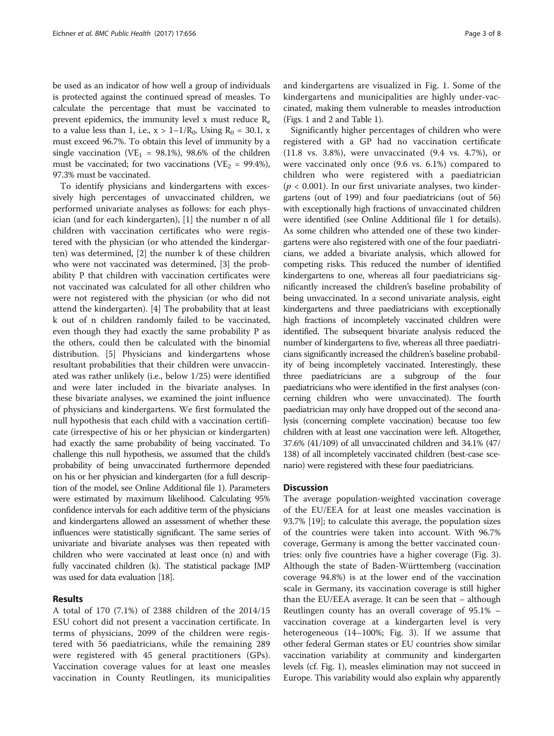be used as an indicator of how well a group of individuals is protected against the continued spread of measles. To calculate the percentage that must be vaccinated to prevent epidemics, the immunity level x must reduce  $R_e$ to a value less than 1, i.e.,  $x > 1 - 1/R_0$ . Using  $R_0 = 30.1$ , x must exceed 96.7%. To obtain this level of immunity by a single vaccination (VE<sub>1</sub> = 98.1%), 98.6% of the children must be vaccinated; for two vaccinations (VE<sub>2</sub> = 99.4%), 97.3% must be vaccinated.

To identify physicians and kindergartens with excessively high percentages of unvaccinated children, we performed univariate analyses as follows: for each physician (and for each kindergarten), [[1\]](#page-6-0) the number n of all children with vaccination certificates who were registered with the physician (or who attended the kindergarten) was determined, [[2\]](#page-6-0) the number k of these children who were not vaccinated was determined, [\[3](#page-6-0)] the probability P that children with vaccination certificates were not vaccinated was calculated for all other children who were not registered with the physician (or who did not attend the kindergarten). [\[4\]](#page-6-0) The probability that at least k out of n children randomly failed to be vaccinated, even though they had exactly the same probability P as the others, could then be calculated with the binomial distribution. [[5](#page-6-0)] Physicians and kindergartens whose resultant probabilities that their children were unvaccinated was rather unlikely (i.e., below 1/25) were identified and were later included in the bivariate analyses. In these bivariate analyses, we examined the joint influence of physicians and kindergartens. We first formulated the null hypothesis that each child with a vaccination certificate (irrespective of his or her physician or kindergarten) had exactly the same probability of being vaccinated. To challenge this null hypothesis, we assumed that the child's probability of being unvaccinated furthermore depended on his or her physician and kindergarten (for a full description of the model, see Online Additional file [1\)](#page-6-0). Parameters were estimated by maximum likelihood. Calculating 95% confidence intervals for each additive term of the physicians and kindergartens allowed an assessment of whether these influences were statistically significant. The same series of univariate and bivariate analyses was then repeated with children who were vaccinated at least once (n) and with fully vaccinated children (k). The statistical package JMP was used for data evaluation [\[18](#page-7-0)].

# Results

A total of 170 (7.1%) of 2388 children of the 2014/15 ESU cohort did not present a vaccination certificate. In terms of physicians, 2099 of the children were registered with 56 paediatricians, while the remaining 289 were registered with 45 general practitioners (GPs). Vaccination coverage values for at least one measles vaccination in County Reutlingen, its municipalities and kindergartens are visualized in Fig. [1.](#page-3-0) Some of the kindergartens and municipalities are highly under-vaccinated, making them vulnerable to measles introduction (Figs. [1](#page-3-0) and [2](#page-3-0) and Table [1](#page-4-0)).

Significantly higher percentages of children who were registered with a GP had no vaccination certificate (11.8 vs. 3.8%), were unvaccinated (9.4 vs. 4.7%), or were vaccinated only once (9.6 vs. 6.1%) compared to children who were registered with a paediatrician  $(p < 0.001)$ . In our first univariate analyses, two kindergartens (out of 199) and four paediatricians (out of 56) with exceptionally high fractions of unvaccinated children were identified (see Online Additional file [1](#page-6-0) for details). As some children who attended one of these two kindergartens were also registered with one of the four paediatricians, we added a bivariate analysis, which allowed for competing risks. This reduced the number of identified kindergartens to one, whereas all four paediatricians significantly increased the children's baseline probability of being unvaccinated. In a second univariate analysis, eight kindergartens and three paediatricians with exceptionally high fractions of incompletely vaccinated children were identified. The subsequent bivariate analysis reduced the number of kindergartens to five, whereas all three paediatricians significantly increased the children's baseline probability of being incompletely vaccinated. Interestingly, these three paediatricians are a subgroup of the four paediatricians who were identified in the first analyses (concerning children who were unvaccinated). The fourth paediatrician may only have dropped out of the second analysis (concerning complete vaccination) because too few children with at least one vaccination were left. Altogether, 37.6% (41/109) of all unvaccinated children and 34.1% (47/ 138) of all incompletely vaccinated children (best-case scenario) were registered with these four paediatricians.

#### **Discussion**

The average population-weighted vaccination coverage of the EU/EEA for at least one measles vaccination is 93.7% [[19\]](#page-7-0); to calculate this average, the population sizes of the countries were taken into account. With 96.7% coverage, Germany is among the better vaccinated countries: only five countries have a higher coverage (Fig. [3](#page-5-0)). Although the state of Baden-Württemberg (vaccination coverage 94.8%) is at the lower end of the vaccination scale in Germany, its vaccination coverage is still higher than the EU/EEA average. It can be seen that – although Reutlingen county has an overall coverage of 95.1% – vaccination coverage at a kindergarten level is very heterogeneous (14–100%; Fig. [3\)](#page-5-0). If we assume that other federal German states or EU countries show similar vaccination variability at community and kindergarten levels (cf. Fig. [1\)](#page-3-0), measles elimination may not succeed in Europe. This variability would also explain why apparently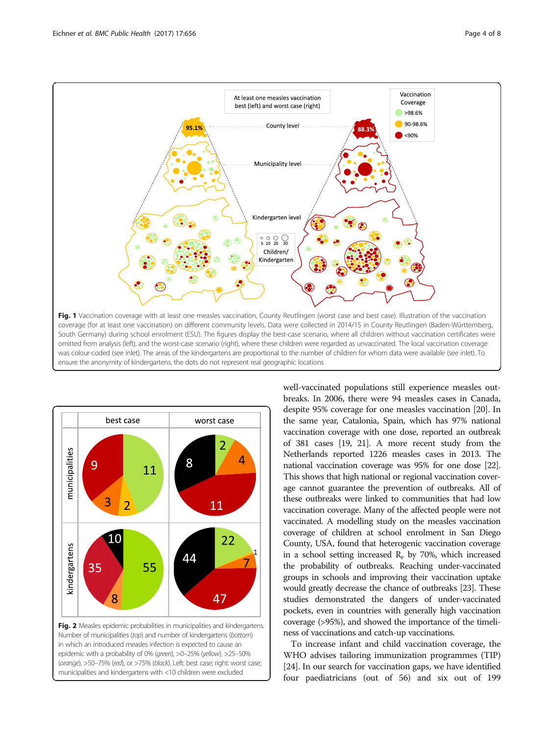<span id="page-3-0"></span>



well-vaccinated populations still experience measles outbreaks. In 2006, there were 94 measles cases in Canada, despite 95% coverage for one measles vaccination [\[20\]](#page-7-0). In the same year, Catalonia, Spain, which has 97% national vaccination coverage with one dose, reported an outbreak of 381 cases [\[19](#page-7-0), [21\]](#page-7-0). A more recent study from the Netherlands reported 1226 measles cases in 2013. The national vaccination coverage was 95% for one dose [\[22](#page-7-0)]. This shows that high national or regional vaccination coverage cannot guarantee the prevention of outbreaks. All of these outbreaks were linked to communities that had low vaccination coverage. Many of the affected people were not vaccinated. A modelling study on the measles vaccination coverage of children at school enrolment in San Diego County, USA, found that heterogenic vaccination coverage in a school setting increased  $R_e$  by 70%, which increased the probability of outbreaks. Reaching under-vaccinated groups in schools and improving their vaccination uptake would greatly decrease the chance of outbreaks [[23\]](#page-7-0). These studies demonstrated the dangers of under-vaccinated pockets, even in countries with generally high vaccination coverage (>95%), and showed the importance of the timeliness of vaccinations and catch-up vaccinations.

To increase infant and child vaccination coverage, the WHO advises tailoring immunization programmes (TIP) [[24](#page-7-0)]. In our search for vaccination gaps, we have identified four paediatricians (out of 56) and six out of 199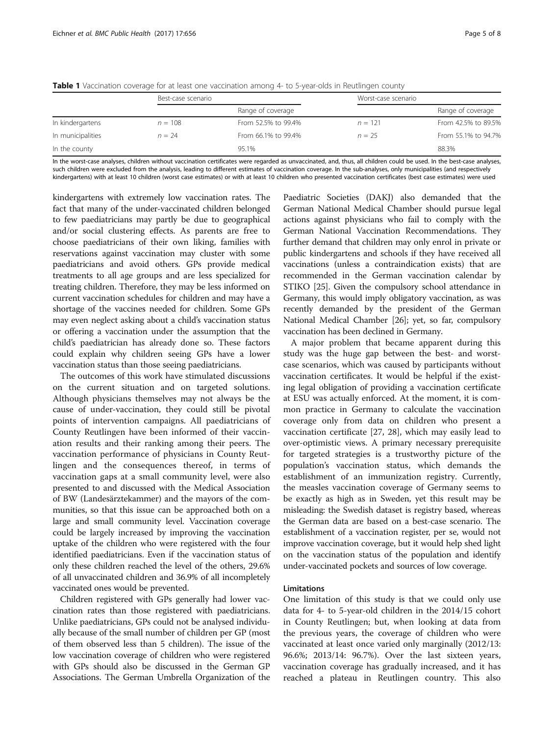|                   | Best-case scenario |                     | Worst-case scenario |                     |
|-------------------|--------------------|---------------------|---------------------|---------------------|
|                   |                    | Range of coverage   |                     | Range of coverage   |
| In kindergartens  | $n = 108$          | From 52.5% to 99.4% | $n = 121$           | From 42.5% to 89.5% |
| In municipalities | $n = 24$           | From 66.1% to 99.4% | $n = 25$            | From 55.1% to 94.7% |
| In the county     |                    | 95.1%               |                     | 88.3%               |

<span id="page-4-0"></span>**Table 1** Vaccination coverage for at least one vaccination among 4- to 5-year-olds in Reutlingen county

In the worst-case analyses, children without vaccination certificates were regarded as unvaccinated, and, thus, all children could be used. In the best-case analyses, such children were excluded from the analysis, leading to different estimates of vaccination coverage. In the sub-analyses, only municipalities (and respectively kindergartens) with at least 10 children (worst case estimates) or with at least 10 children who presented vaccination certificates (best case estimates) were used

kindergartens with extremely low vaccination rates. The fact that many of the under-vaccinated children belonged to few paediatricians may partly be due to geographical and/or social clustering effects. As parents are free to choose paediatricians of their own liking, families with reservations against vaccination may cluster with some paediatricians and avoid others. GPs provide medical treatments to all age groups and are less specialized for treating children. Therefore, they may be less informed on current vaccination schedules for children and may have a shortage of the vaccines needed for children. Some GPs may even neglect asking about a child's vaccination status or offering a vaccination under the assumption that the child's paediatrician has already done so. These factors could explain why children seeing GPs have a lower vaccination status than those seeing paediatricians.

The outcomes of this work have stimulated discussions on the current situation and on targeted solutions. Although physicians themselves may not always be the cause of under-vaccination, they could still be pivotal points of intervention campaigns. All paediatricians of County Reutlingen have been informed of their vaccination results and their ranking among their peers. The vaccination performance of physicians in County Reutlingen and the consequences thereof, in terms of vaccination gaps at a small community level, were also presented to and discussed with the Medical Association of BW (Landesärztekammer) and the mayors of the communities, so that this issue can be approached both on a large and small community level. Vaccination coverage could be largely increased by improving the vaccination uptake of the children who were registered with the four identified paediatricians. Even if the vaccination status of only these children reached the level of the others, 29.6% of all unvaccinated children and 36.9% of all incompletely vaccinated ones would be prevented.

Children registered with GPs generally had lower vaccination rates than those registered with paediatricians. Unlike paediatricians, GPs could not be analysed individually because of the small number of children per GP (most of them observed less than 5 children). The issue of the low vaccination coverage of children who were registered with GPs should also be discussed in the German GP Associations. The German Umbrella Organization of the

Paediatric Societies (DAKJ) also demanded that the German National Medical Chamber should pursue legal actions against physicians who fail to comply with the German National Vaccination Recommendations. They further demand that children may only enrol in private or public kindergartens and schools if they have received all vaccinations (unless a contraindication exists) that are recommended in the German vaccination calendar by STIKO [\[25\]](#page-7-0). Given the compulsory school attendance in Germany, this would imply obligatory vaccination, as was recently demanded by the president of the German National Medical Chamber [[26](#page-7-0)]; yet, so far, compulsory vaccination has been declined in Germany.

A major problem that became apparent during this study was the huge gap between the best- and worstcase scenarios, which was caused by participants without vaccination certificates. It would be helpful if the existing legal obligation of providing a vaccination certificate at ESU was actually enforced. At the moment, it is common practice in Germany to calculate the vaccination coverage only from data on children who present a vaccination certificate [\[27](#page-7-0), [28\]](#page-7-0), which may easily lead to over-optimistic views. A primary necessary prerequisite for targeted strategies is a trustworthy picture of the population's vaccination status, which demands the establishment of an immunization registry. Currently, the measles vaccination coverage of Germany seems to be exactly as high as in Sweden, yet this result may be misleading: the Swedish dataset is registry based, whereas the German data are based on a best-case scenario. The establishment of a vaccination register, per se, would not improve vaccination coverage, but it would help shed light on the vaccination status of the population and identify under-vaccinated pockets and sources of low coverage.

### Limitations

One limitation of this study is that we could only use data for 4- to 5-year-old children in the 2014/15 cohort in County Reutlingen; but, when looking at data from the previous years, the coverage of children who were vaccinated at least once varied only marginally (2012/13: 96.6%; 2013/14: 96.7%). Over the last sixteen years, vaccination coverage has gradually increased, and it has reached a plateau in Reutlingen country. This also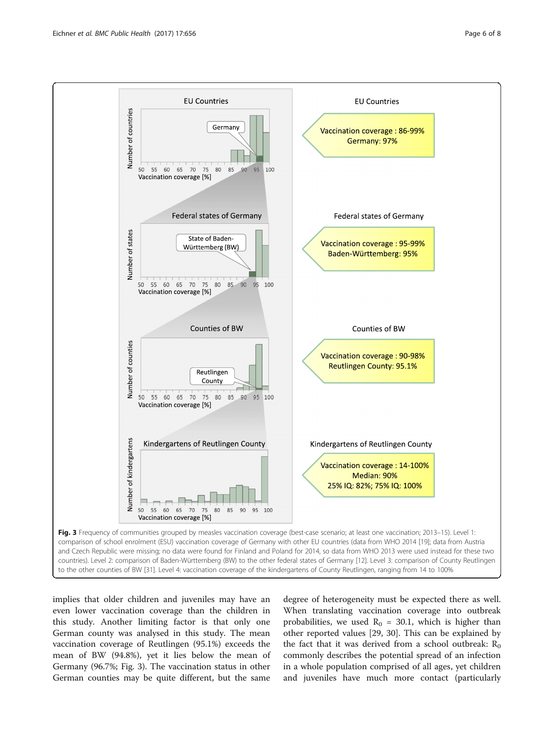<span id="page-5-0"></span>

implies that older children and juveniles may have an even lower vaccination coverage than the children in this study. Another limiting factor is that only one German county was analysed in this study. The mean vaccination coverage of Reutlingen (95.1%) exceeds the mean of BW (94.8%), yet it lies below the mean of Germany (96.7%; Fig. 3). The vaccination status in other German counties may be quite different, but the same

degree of heterogeneity must be expected there as well. When translating vaccination coverage into outbreak probabilities, we used  $R_0 = 30.1$ , which is higher than other reported values [[29, 30](#page-7-0)]. This can be explained by the fact that it was derived from a school outbreak:  $R_0$ commonly describes the potential spread of an infection in a whole population comprised of all ages, yet children and juveniles have much more contact (particularly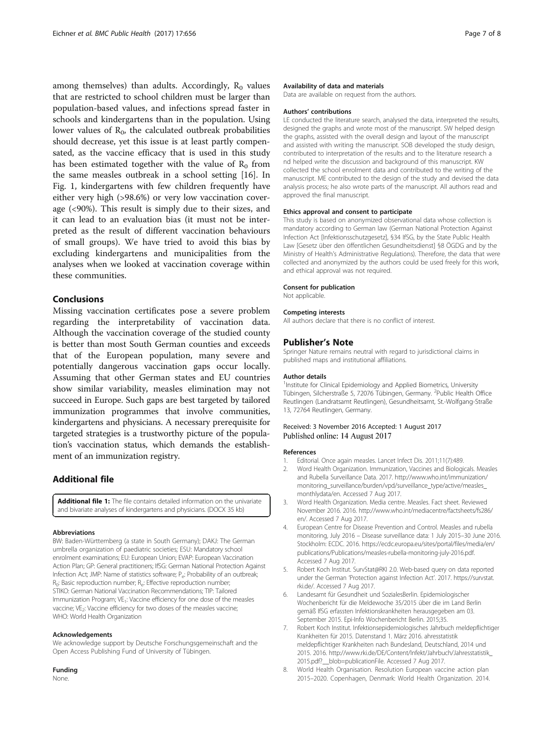<span id="page-6-0"></span>among themselves) than adults. Accordingly,  $R_0$  values that are restricted to school children must be larger than population-based values, and infections spread faster in schools and kindergartens than in the population. Using lower values of  $R_0$ , the calculated outbreak probabilities should decrease, yet this issue is at least partly compensated, as the vaccine efficacy that is used in this study has been estimated together with the value of  $R_0$  from the same measles outbreak in a school setting [\[16](#page-7-0)]. In Fig. [1,](#page-3-0) kindergartens with few children frequently have either very high (>98.6%) or very low vaccination coverage (<90%). This result is simply due to their sizes, and it can lead to an evaluation bias (it must not be interpreted as the result of different vaccination behaviours of small groups). We have tried to avoid this bias by excluding kindergartens and municipalities from the analyses when we looked at vaccination coverage within these communities.

# Conclusions

Missing vaccination certificates pose a severe problem regarding the interpretability of vaccination data. Although the vaccination coverage of the studied county is better than most South German counties and exceeds that of the European population, many severe and potentially dangerous vaccination gaps occur locally. Assuming that other German states and EU countries show similar variability, measles elimination may not succeed in Europe. Such gaps are best targeted by tailored immunization programmes that involve communities, kindergartens and physicians. A necessary prerequisite for targeted strategies is a trustworthy picture of the population's vaccination status, which demands the establishment of an immunization registry.

# Additional file

[Additional file 1:](dx.doi.org/10.1186/s12889-017-4663-3) The file contains detailed information on the univariate and bivariate analyses of kindergartens and physicians. (DOCX 35 kb)

#### Abbreviations

BW: Baden-Württemberg (a state in South Germany); DAKJ: The German umbrella organization of paediatric societies; ESU: Mandatory school enrolment examinations; EU: European Union; EVAP: European Vaccination Action Plan; GP: General practitioners; IfSG: German National Protection Against Infection Act; JMP: Name of statistics software; P<sub>e</sub>: Probability of an outbreak; R<sub>0</sub>: Basic reproduction number; R<sub>e</sub>: Effective reproduction number; STIKO: German National Vaccination Recommendations; TIP: Tailored Immunization Program; VE<sub>1</sub>: Vaccine efficiency for one dose of the measles vaccine; VE<sub>2</sub>: Vaccine efficiency for two doses of the measles vaccine; WHO: World Health Organization

#### Acknowledgements

We acknowledge support by Deutsche Forschungsgemeinschaft and the Open Access Publishing Fund of University of Tübingen.

#### Funding

None.

#### Availability of data and materials

Data are available on request from the authors.

#### Authors' contributions

LE conducted the literature search, analysed the data, interpreted the results, designed the graphs and wrote most of the manuscript. SW helped design the graphs, assisted with the overall design and layout of the manuscript and assisted with writing the manuscript. SOB developed the study design, contributed to interpretation of the results and to the literature research a nd helped write the discussion and background of this manuscript. KW collected the school enrolment data and contributed to the writing of the manuscript. ME contributed to the design of the study and devised the data analysis process; he also wrote parts of the manuscript. All authors read and approved the final manuscript.

#### Ethics approval and consent to participate

This study is based on anonymized observational data whose collection is mandatory according to German law (German National Protection Against Infection Act [Infektionsschutzgesetz], §34 IfSG, by the State Public Health Law [Gesetz über den öffentlichen Gesundheitsdienst] §8 ÖGDG and by the Ministry of Health's Administrative Regulations). Therefore, the data that were collected and anonymized by the authors could be used freely for this work, and ethical approval was not required.

#### Consent for publication

Not applicable.

#### Competing interests

All authors declare that there is no conflict of interest.

#### Publisher's Note

Springer Nature remains neutral with regard to jurisdictional claims in published maps and institutional affiliations.

#### Author details

<sup>1</sup>Institute for Clinical Epidemiology and Applied Biometrics, University Tübingen, Silcherstraße 5, 72076 Tübingen, Germany. <sup>2</sup>Public Health Office Reutlingen (Landratsamt Reutlingen), Gesundheitsamt, St.-Wolfgang-Straße 13, 72764 Reutlingen, Germany.

#### Received: 3 November 2016 Accepted: 1 August 2017 Published online: 14 August 2017

#### References

- 1. Editorial. Once again measles. Lancet Infect Dis. 2011;11(7):489.
- 2. Word Health Organization. Immunization, Vaccines and Biologicals. Measles and Rubella Surveillance Data. 2017. [http://www.who.int/immunization/](http://www.who.int/immunization/monitoring_surveillance/burden/vpd/surveillance_type/active/measles_monthlydata/en) [monitoring\\_surveillance/burden/vpd/surveillance\\_type/active/measles\\_](http://www.who.int/immunization/monitoring_surveillance/burden/vpd/surveillance_type/active/measles_monthlydata/en) [monthlydata/en.](http://www.who.int/immunization/monitoring_surveillance/burden/vpd/surveillance_type/active/measles_monthlydata/en) Accessed 7 Aug 2017.
- 3. Word Health Organization. Media centre. Measles. Fact sheet. Reviewed November 2016. 2016. [http://www.who.int/mediacentre/factsheets/fs286/](http://www.who.int/mediacentre/factsheets/fs286/en/) [en/](http://www.who.int/mediacentre/factsheets/fs286/en/). Accessed 7 Aug 2017.
- European Centre for Disease Prevention and Control. Measles and rubella monitoring, July 2016 – Disease surveillance data: 1 July 2015–30 June 2016. Stockholm: ECDC. 2016. [https://ecdc.europa.eu/sites/portal/files/media/en/](https://ecdc.europa.eu/sites/portal/files/media/en/publications/Publications/measles-rubella-monitoring-july-2016.pdf) [publications/Publications/measles-rubella-monitoring-july-2016.pdf](https://ecdc.europa.eu/sites/portal/files/media/en/publications/Publications/measles-rubella-monitoring-july-2016.pdf). Accessed 7 Aug 2017.
- Robert Koch Institut. SurvStat@RKI 2.0. Web-based query on data reported under the German 'Protection against Infection Act'. 2017. [https://survstat.](https://survstat.rki.de/) [rki.de/](https://survstat.rki.de/). Accessed 7 Aug 2017.
- 6. Landesamt für Gesundheit und SozialesBerlin. Epidemiologischer Wochenbericht für die Meldewoche 35/2015 über die im Land Berlin gemäß IfSG erfassten Infektionskrankheiten herausgegeben am 03. September 2015. Epi-Info Wochenbericht Berlin. 2015;35.
- 7. Robert Koch Institut. Infektionsepidemiologisches Jahrbuch meldepflichtiger Krankheiten für 2015. Datenstand 1. März 2016. ahresstatistik meldepflichtiger Krankheiten nach Bundesland, Deutschland, 2014 und 2015. 2016. [http://www.rki.de/DE/Content/Infekt/Jahrbuch/Jahresstatistik\\_](http://www.rki.de/DE/Content/Infekt/Jahrbuch/Jahresstatistik_2015.pdf?__blob=publicationFile) [2015.pdf?\\_\\_blob=publicationFile.](http://www.rki.de/DE/Content/Infekt/Jahrbuch/Jahresstatistik_2015.pdf?__blob=publicationFile) Accessed 7 Aug 2017.
- 8. World Health Organisation. Resolution European vaccine action plan 2015–2020. Copenhagen, Denmark: World Health Organization. 2014.